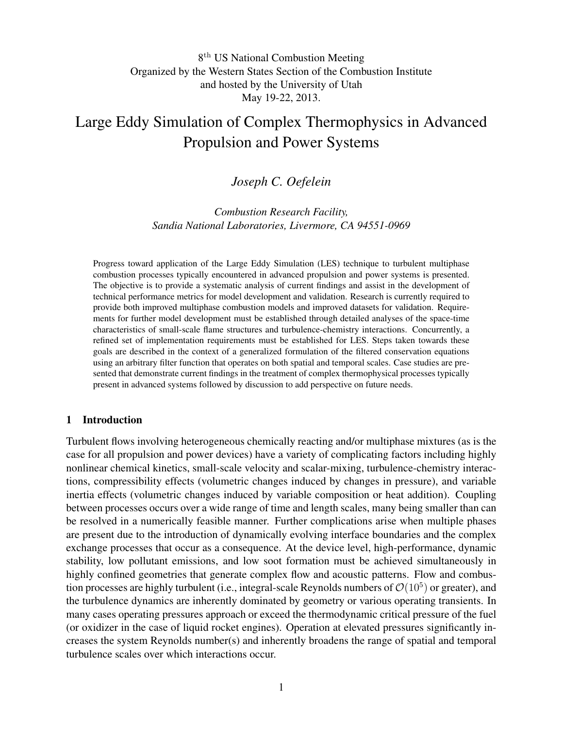# 8 th US National Combustion Meeting Organized by the Western States Section of the Combustion Institute and hosted by the University of Utah May 19-22, 2013.

# Large Eddy Simulation of Complex Thermophysics in Advanced Propulsion and Power Systems

# *Joseph C. Oefelein*

*Combustion Research Facility, Sandia National Laboratories, Livermore, CA 94551-0969*

Progress toward application of the Large Eddy Simulation (LES) technique to turbulent multiphase combustion processes typically encountered in advanced propulsion and power systems is presented. The objective is to provide a systematic analysis of current findings and assist in the development of technical performance metrics for model development and validation. Research is currently required to provide both improved multiphase combustion models and improved datasets for validation. Requirements for further model development must be established through detailed analyses of the space-time characteristics of small-scale flame structures and turbulence-chemistry interactions. Concurrently, a refined set of implementation requirements must be established for LES. Steps taken towards these goals are described in the context of a generalized formulation of the filtered conservation equations using an arbitrary filter function that operates on both spatial and temporal scales. Case studies are presented that demonstrate current findings in the treatment of complex thermophysical processes typically present in advanced systems followed by discussion to add perspective on future needs.

#### 1 Introduction

Turbulent flows involving heterogeneous chemically reacting and/or multiphase mixtures (as is the case for all propulsion and power devices) have a variety of complicating factors including highly nonlinear chemical kinetics, small-scale velocity and scalar-mixing, turbulence-chemistry interactions, compressibility effects (volumetric changes induced by changes in pressure), and variable inertia effects (volumetric changes induced by variable composition or heat addition). Coupling between processes occurs over a wide range of time and length scales, many being smaller than can be resolved in a numerically feasible manner. Further complications arise when multiple phases are present due to the introduction of dynamically evolving interface boundaries and the complex exchange processes that occur as a consequence. At the device level, high-performance, dynamic stability, low pollutant emissions, and low soot formation must be achieved simultaneously in highly confined geometries that generate complex flow and acoustic patterns. Flow and combustion processes are highly turbulent (i.e., integral-scale Reynolds numbers of  $\mathcal{O}(10^5)$  or greater), and the turbulence dynamics are inherently dominated by geometry or various operating transients. In many cases operating pressures approach or exceed the thermodynamic critical pressure of the fuel (or oxidizer in the case of liquid rocket engines). Operation at elevated pressures significantly increases the system Reynolds number(s) and inherently broadens the range of spatial and temporal turbulence scales over which interactions occur.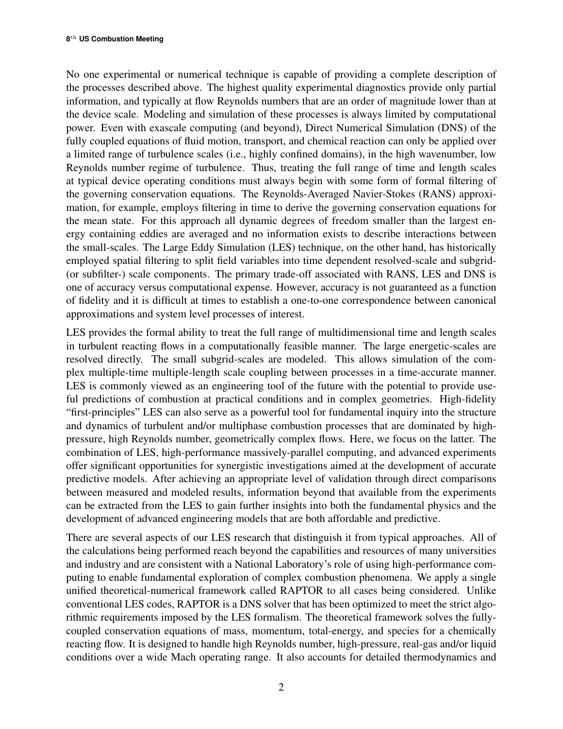No one experimental or numerical technique is capable of providing a complete description of the processes described above. The highest quality experimental diagnostics provide only partial information, and typically at flow Reynolds numbers that are an order of magnitude lower than at the device scale. Modeling and simulation of these processes is always limited by computational power. Even with exascale computing (and beyond), Direct Numerical Simulation (DNS) of the fully coupled equations of fluid motion, transport, and chemical reaction can only be applied over a limited range of turbulence scales (i.e., highly confined domains), in the high wavenumber, low Reynolds number regime of turbulence. Thus, treating the full range of time and length scales at typical device operating conditions must always begin with some form of formal filtering of the governing conservation equations. The Reynolds-Averaged Navier-Stokes (RANS) approximation, for example, employs filtering in time to derive the governing conservation equations for the mean state. For this approach all dynamic degrees of freedom smaller than the largest energy containing eddies are averaged and no information exists to describe interactions between the small-scales. The Large Eddy Simulation (LES) technique, on the other hand, has historically employed spatial filtering to split field variables into time dependent resolved-scale and subgrid- (or subfilter-) scale components. The primary trade-off associated with RANS, LES and DNS is one of accuracy versus computational expense. However, accuracy is not guaranteed as a function of fidelity and it is difficult at times to establish a one-to-one correspondence between canonical approximations and system level processes of interest.

LES provides the formal ability to treat the full range of multidimensional time and length scales in turbulent reacting flows in a computationally feasible manner. The large energetic-scales are resolved directly. The small subgrid-scales are modeled. This allows simulation of the complex multiple-time multiple-length scale coupling between processes in a time-accurate manner. LES is commonly viewed as an engineering tool of the future with the potential to provide useful predictions of combustion at practical conditions and in complex geometries. High-fidelity "first-principles" LES can also serve as a powerful tool for fundamental inquiry into the structure and dynamics of turbulent and/or multiphase combustion processes that are dominated by highpressure, high Reynolds number, geometrically complex flows. Here, we focus on the latter. The combination of LES, high-performance massively-parallel computing, and advanced experiments offer significant opportunities for synergistic investigations aimed at the development of accurate predictive models. After achieving an appropriate level of validation through direct comparisons between measured and modeled results, information beyond that available from the experiments can be extracted from the LES to gain further insights into both the fundamental physics and the development of advanced engineering models that are both affordable and predictive.

There are several aspects of our LES research that distinguish it from typical approaches. All of the calculations being performed reach beyond the capabilities and resources of many universities and industry and are consistent with a National Laboratory's role of using high-performance computing to enable fundamental exploration of complex combustion phenomena. We apply a single unified theoretical-numerical framework called RAPTOR to all cases being considered. Unlike conventional LES codes, RAPTOR is a DNS solver that has been optimized to meet the strict algorithmic requirements imposed by the LES formalism. The theoretical framework solves the fullycoupled conservation equations of mass, momentum, total-energy, and species for a chemically reacting flow. It is designed to handle high Reynolds number, high-pressure, real-gas and/or liquid conditions over a wide Mach operating range. It also accounts for detailed thermodynamics and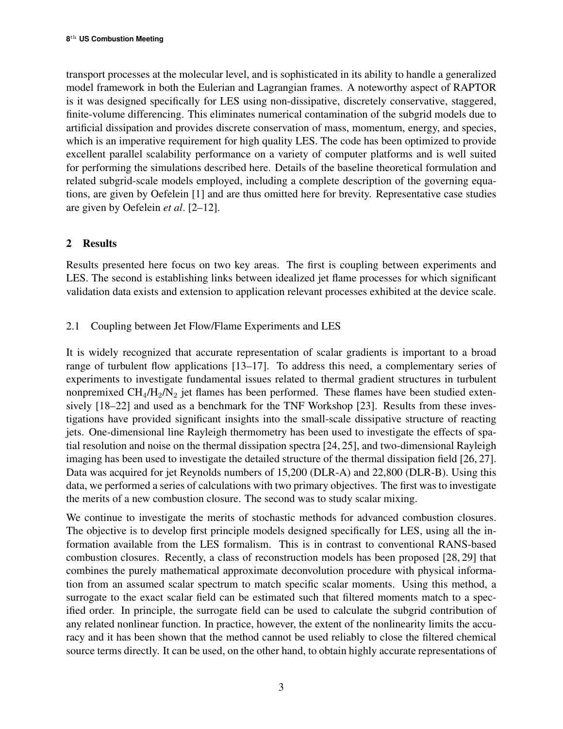transport processes at the molecular level, and is sophisticated in its ability to handle a generalized model framework in both the Eulerian and Lagrangian frames. A noteworthy aspect of RAPTOR is it was designed specifically for LES using non-dissipative, discretely conservative, staggered, finite-volume differencing. This eliminates numerical contamination of the subgrid models due to artificial dissipation and provides discrete conservation of mass, momentum, energy, and species, which is an imperative requirement for high quality LES. The code has been optimized to provide excellent parallel scalability performance on a variety of computer platforms and is well suited for performing the simulations described here. Details of the baseline theoretical formulation and related subgrid-scale models employed, including a complete description of the governing equations, are given by Oefelein [1] and are thus omitted here for brevity. Representative case studies are given by Oefelein *et al*. [2–12].

# 2 Results

Results presented here focus on two key areas. The first is coupling between experiments and LES. The second is establishing links between idealized jet flame processes for which significant validation data exists and extension to application relevant processes exhibited at the device scale.

# 2.1 Coupling between Jet Flow/Flame Experiments and LES

It is widely recognized that accurate representation of scalar gradients is important to a broad range of turbulent flow applications [13–17]. To address this need, a complementary series of experiments to investigate fundamental issues related to thermal gradient structures in turbulent nonpremixed  $CH_4/H_2/N_2$  jet flames has been performed. These flames have been studied extensively [18–22] and used as a benchmark for the TNF Workshop [23]. Results from these investigations have provided significant insights into the small-scale dissipative structure of reacting jets. One-dimensional line Rayleigh thermometry has been used to investigate the effects of spatial resolution and noise on the thermal dissipation spectra [24, 25], and two-dimensional Rayleigh imaging has been used to investigate the detailed structure of the thermal dissipation field [26, 27]. Data was acquired for jet Reynolds numbers of 15,200 (DLR-A) and 22,800 (DLR-B). Using this data, we performed a series of calculations with two primary objectives. The first was to investigate the merits of a new combustion closure. The second was to study scalar mixing.

We continue to investigate the merits of stochastic methods for advanced combustion closures. The objective is to develop first principle models designed specifically for LES, using all the information available from the LES formalism. This is in contrast to conventional RANS-based combustion closures. Recently, a class of reconstruction models has been proposed [28, 29] that combines the purely mathematical approximate deconvolution procedure with physical information from an assumed scalar spectrum to match specific scalar moments. Using this method, a surrogate to the exact scalar field can be estimated such that filtered moments match to a specified order. In principle, the surrogate field can be used to calculate the subgrid contribution of any related nonlinear function. In practice, however, the extent of the nonlinearity limits the accuracy and it has been shown that the method cannot be used reliably to close the filtered chemical source terms directly. It can be used, on the other hand, to obtain highly accurate representations of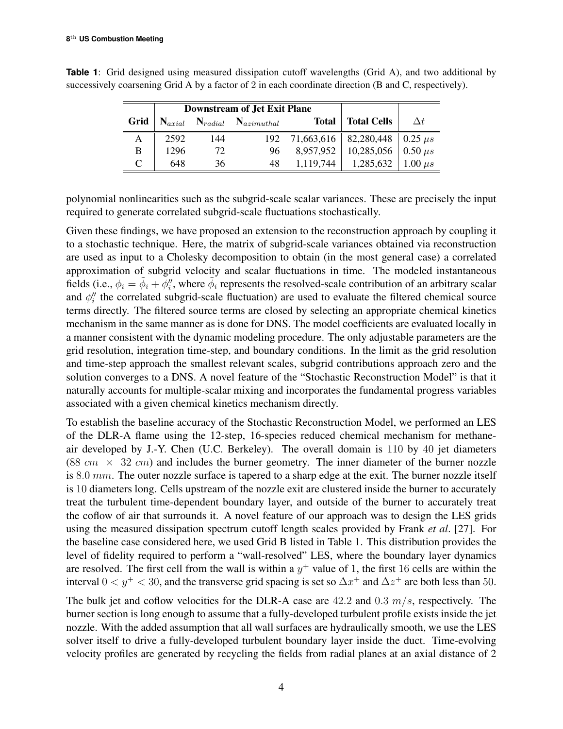|      | <b>Downstream of Jet Exit Plane</b> |     |                              |              |                                        |                |
|------|-------------------------------------|-----|------------------------------|--------------|----------------------------------------|----------------|
| Grid | $\mathbf{N}_{axial}$                |     | $N_{radial}$ $N_{azimuthal}$ | <b>Total</b> | <b>Total Cells</b>                     | $\Delta t$     |
| А    | 2592                                | 144 | 192                          |              | 71,663,616   82,280,448   0.25 $\mu s$ |                |
| B    | 1296                                | 72  | 96                           | 8.957.952    | 10,285,056                             | $0.50 \ \mu s$ |
| C    | 648                                 | 36  | 48                           | 1,119,744    | 1,285,632                              | $1.00 \ \mu s$ |

**Table 1**: Grid designed using measured dissipation cutoff wavelengths (Grid A), and two additional by successively coarsening Grid A by a factor of 2 in each coordinate direction (B and C, respectively).

polynomial nonlinearities such as the subgrid-scale scalar variances. These are precisely the input required to generate correlated subgrid-scale fluctuations stochastically.

Given these findings, we have proposed an extension to the reconstruction approach by coupling it to a stochastic technique. Here, the matrix of subgrid-scale variances obtained via reconstruction are used as input to a Cholesky decomposition to obtain (in the most general case) a correlated approximation of subgrid velocity and scalar fluctuations in time. The modeled instantaneous fields (i.e.,  $\phi_i = \tilde{\phi}_i + \phi''_i$ , where  $\tilde{\phi}_i$  represents the resolved-scale contribution of an arbitrary scalar and  $\phi''_i$  the correlated subgrid-scale fluctuation) are used to evaluate the filtered chemical source terms directly. The filtered source terms are closed by selecting an appropriate chemical kinetics mechanism in the same manner as is done for DNS. The model coefficients are evaluated locally in a manner consistent with the dynamic modeling procedure. The only adjustable parameters are the grid resolution, integration time-step, and boundary conditions. In the limit as the grid resolution and time-step approach the smallest relevant scales, subgrid contributions approach zero and the solution converges to a DNS. A novel feature of the "Stochastic Reconstruction Model" is that it naturally accounts for multiple-scalar mixing and incorporates the fundamental progress variables associated with a given chemical kinetics mechanism directly.

To establish the baseline accuracy of the Stochastic Reconstruction Model, we performed an LES of the DLR-A flame using the 12-step, 16-species reduced chemical mechanism for methaneair developed by J.-Y. Chen (U.C. Berkeley). The overall domain is 110 by 40 jet diameters (88  $cm \times 32$  cm) and includes the burner geometry. The inner diameter of the burner nozzle is 8.0 mm. The outer nozzle surface is tapered to a sharp edge at the exit. The burner nozzle itself is 10 diameters long. Cells upstream of the nozzle exit are clustered inside the burner to accurately treat the turbulent time-dependent boundary layer, and outside of the burner to accurately treat the coflow of air that surrounds it. A novel feature of our approach was to design the LES grids using the measured dissipation spectrum cutoff length scales provided by Frank *et al*. [27]. For the baseline case considered here, we used Grid B listed in Table 1. This distribution provides the level of fidelity required to perform a "wall-resolved" LES, where the boundary layer dynamics are resolved. The first cell from the wall is within a  $y^{+}$  value of 1, the first 16 cells are within the interval  $0 < y^+ < 30$ , and the transverse grid spacing is set so  $\Delta x^+$  and  $\Delta z^+$  are both less than 50.

The bulk jet and coflow velocities for the DLR-A case are  $42.2$  and  $0.3$   $m/s$ , respectively. The burner section is long enough to assume that a fully-developed turbulent profile exists inside the jet nozzle. With the added assumption that all wall surfaces are hydraulically smooth, we use the LES solver itself to drive a fully-developed turbulent boundary layer inside the duct. Time-evolving velocity profiles are generated by recycling the fields from radial planes at an axial distance of 2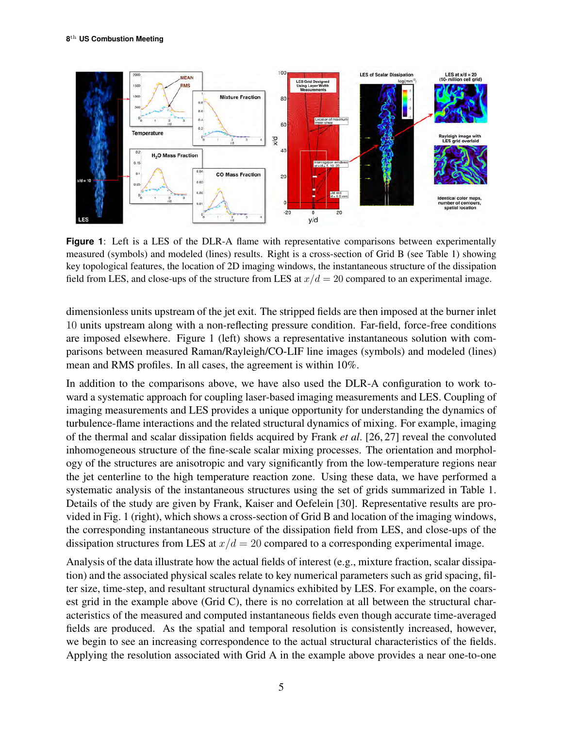

**Figure 1**: Left is a LES of the DLR-A flame with representative comparisons between experimentally measured (symbols) and modeled (lines) results. Right is a cross-section of Grid B (see Table 1) showing key topological features, the location of 2D imaging windows, the instantaneous structure of the dissipation field from LES, and close-ups of the structure from LES at  $x/d = 20$  compared to an experimental image.

dimensionless units upstream of the jet exit. The stripped fields are then imposed at the burner inlet 10 units upstream along with a non-reflecting pressure condition. Far-field, force-free conditions are imposed elsewhere. Figure 1 (left) shows a representative instantaneous solution with comparisons between measured Raman/Rayleigh/CO-LIF line images (symbols) and modeled (lines) mean and RMS profiles. In all cases, the agreement is within 10%.

In addition to the comparisons above, we have also used the DLR-A configuration to work toward a systematic approach for coupling laser-based imaging measurements and LES. Coupling of imaging measurements and LES provides a unique opportunity for understanding the dynamics of turbulence-flame interactions and the related structural dynamics of mixing. For example, imaging of the thermal and scalar dissipation fields acquired by Frank *et al*. [26, 27] reveal the convoluted inhomogeneous structure of the fine-scale scalar mixing processes. The orientation and morphology of the structures are anisotropic and vary significantly from the low-temperature regions near the jet centerline to the high temperature reaction zone. Using these data, we have performed a systematic analysis of the instantaneous structures using the set of grids summarized in Table 1. Details of the study are given by Frank, Kaiser and Oefelein [30]. Representative results are provided in Fig. 1 (right), which shows a cross-section of Grid B and location of the imaging windows, the corresponding instantaneous structure of the dissipation field from LES, and close-ups of the dissipation structures from LES at  $x/d = 20$  compared to a corresponding experimental image.

Analysis of the data illustrate how the actual fields of interest (e.g., mixture fraction, scalar dissipation) and the associated physical scales relate to key numerical parameters such as grid spacing, filter size, time-step, and resultant structural dynamics exhibited by LES. For example, on the coarsest grid in the example above (Grid C), there is no correlation at all between the structural characteristics of the measured and computed instantaneous fields even though accurate time-averaged fields are produced. As the spatial and temporal resolution is consistently increased, however, we begin to see an increasing correspondence to the actual structural characteristics of the fields. Applying the resolution associated with Grid A in the example above provides a near one-to-one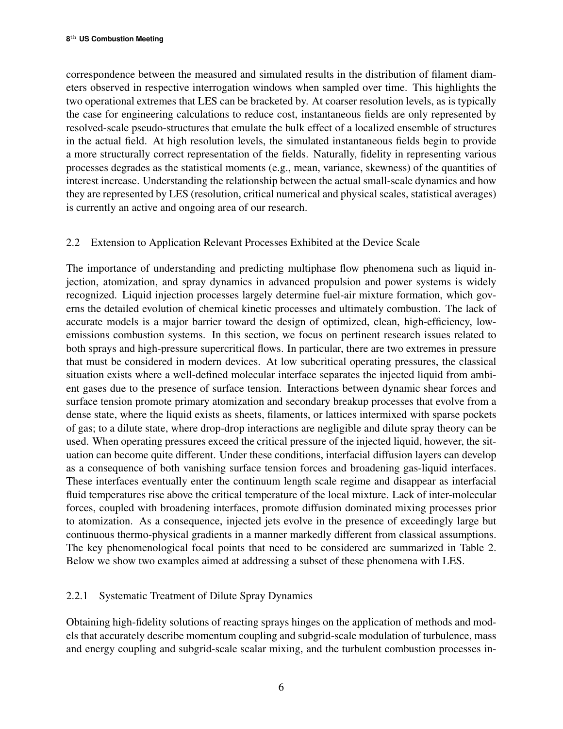correspondence between the measured and simulated results in the distribution of filament diameters observed in respective interrogation windows when sampled over time. This highlights the two operational extremes that LES can be bracketed by. At coarser resolution levels, as is typically the case for engineering calculations to reduce cost, instantaneous fields are only represented by resolved-scale pseudo-structures that emulate the bulk effect of a localized ensemble of structures in the actual field. At high resolution levels, the simulated instantaneous fields begin to provide a more structurally correct representation of the fields. Naturally, fidelity in representing various processes degrades as the statistical moments (e.g., mean, variance, skewness) of the quantities of interest increase. Understanding the relationship between the actual small-scale dynamics and how they are represented by LES (resolution, critical numerical and physical scales, statistical averages) is currently an active and ongoing area of our research.

# 2.2 Extension to Application Relevant Processes Exhibited at the Device Scale

The importance of understanding and predicting multiphase flow phenomena such as liquid injection, atomization, and spray dynamics in advanced propulsion and power systems is widely recognized. Liquid injection processes largely determine fuel-air mixture formation, which governs the detailed evolution of chemical kinetic processes and ultimately combustion. The lack of accurate models is a major barrier toward the design of optimized, clean, high-efficiency, lowemissions combustion systems. In this section, we focus on pertinent research issues related to both sprays and high-pressure supercritical flows. In particular, there are two extremes in pressure that must be considered in modern devices. At low subcritical operating pressures, the classical situation exists where a well-defined molecular interface separates the injected liquid from ambient gases due to the presence of surface tension. Interactions between dynamic shear forces and surface tension promote primary atomization and secondary breakup processes that evolve from a dense state, where the liquid exists as sheets, filaments, or lattices intermixed with sparse pockets of gas; to a dilute state, where drop-drop interactions are negligible and dilute spray theory can be used. When operating pressures exceed the critical pressure of the injected liquid, however, the situation can become quite different. Under these conditions, interfacial diffusion layers can develop as a consequence of both vanishing surface tension forces and broadening gas-liquid interfaces. These interfaces eventually enter the continuum length scale regime and disappear as interfacial fluid temperatures rise above the critical temperature of the local mixture. Lack of inter-molecular forces, coupled with broadening interfaces, promote diffusion dominated mixing processes prior to atomization. As a consequence, injected jets evolve in the presence of exceedingly large but continuous thermo-physical gradients in a manner markedly different from classical assumptions. The key phenomenological focal points that need to be considered are summarized in Table 2. Below we show two examples aimed at addressing a subset of these phenomena with LES.

## 2.2.1 Systematic Treatment of Dilute Spray Dynamics

Obtaining high-fidelity solutions of reacting sprays hinges on the application of methods and models that accurately describe momentum coupling and subgrid-scale modulation of turbulence, mass and energy coupling and subgrid-scale scalar mixing, and the turbulent combustion processes in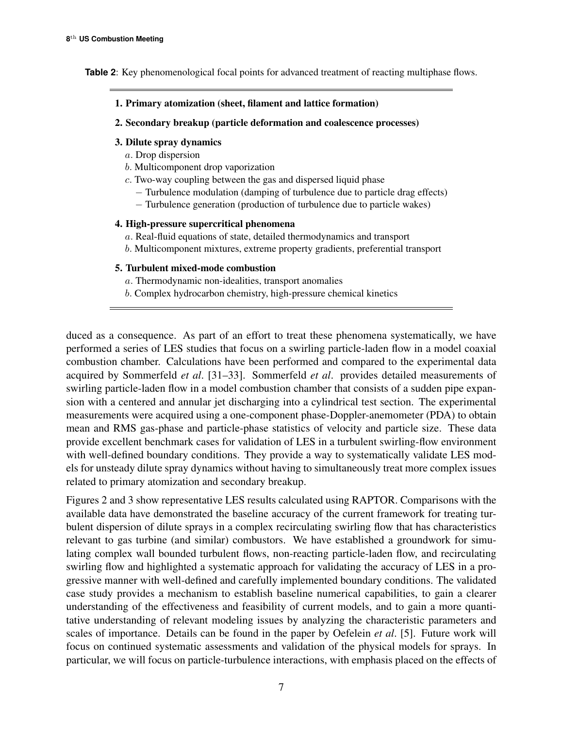**Table 2**: Key phenomenological focal points for advanced treatment of reacting multiphase flows.

- 1. Primary atomization (sheet, filament and lattice formation)
- 2. Secondary breakup (particle deformation and coalescence processes)

#### 3. Dilute spray dynamics

- a. Drop dispersion
- b. Multicomponent drop vaporization
- c. Two-way coupling between the gas and dispersed liquid phase
	- − Turbulence modulation (damping of turbulence due to particle drag effects)
	- − Turbulence generation (production of turbulence due to particle wakes)

### 4. High-pressure supercritical phenomena

- a. Real-fluid equations of state, detailed thermodynamics and transport
- b. Multicomponent mixtures, extreme property gradients, preferential transport

### 5. Turbulent mixed-mode combustion

- a. Thermodynamic non-idealities, transport anomalies
- b. Complex hydrocarbon chemistry, high-pressure chemical kinetics

duced as a consequence. As part of an effort to treat these phenomena systematically, we have performed a series of LES studies that focus on a swirling particle-laden flow in a model coaxial combustion chamber. Calculations have been performed and compared to the experimental data acquired by Sommerfeld *et al*. [31–33]. Sommerfeld *et al*. provides detailed measurements of swirling particle-laden flow in a model combustion chamber that consists of a sudden pipe expansion with a centered and annular jet discharging into a cylindrical test section. The experimental measurements were acquired using a one-component phase-Doppler-anemometer (PDA) to obtain mean and RMS gas-phase and particle-phase statistics of velocity and particle size. These data provide excellent benchmark cases for validation of LES in a turbulent swirling-flow environment with well-defined boundary conditions. They provide a way to systematically validate LES models for unsteady dilute spray dynamics without having to simultaneously treat more complex issues related to primary atomization and secondary breakup.

Figures 2 and 3 show representative LES results calculated using RAPTOR. Comparisons with the available data have demonstrated the baseline accuracy of the current framework for treating turbulent dispersion of dilute sprays in a complex recirculating swirling flow that has characteristics relevant to gas turbine (and similar) combustors. We have established a groundwork for simulating complex wall bounded turbulent flows, non-reacting particle-laden flow, and recirculating swirling flow and highlighted a systematic approach for validating the accuracy of LES in a progressive manner with well-defined and carefully implemented boundary conditions. The validated case study provides a mechanism to establish baseline numerical capabilities, to gain a clearer understanding of the effectiveness and feasibility of current models, and to gain a more quantitative understanding of relevant modeling issues by analyzing the characteristic parameters and scales of importance. Details can be found in the paper by Oefelein *et al*. [5]. Future work will focus on continued systematic assessments and validation of the physical models for sprays. In particular, we will focus on particle-turbulence interactions, with emphasis placed on the effects of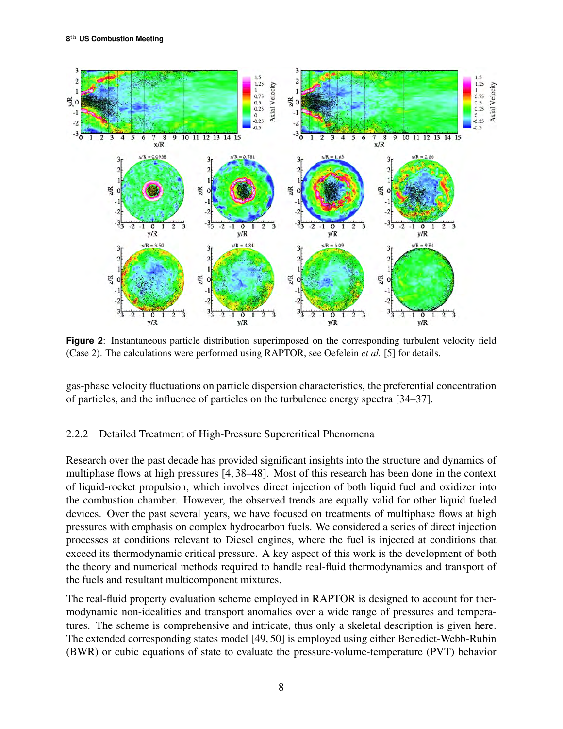

**Figure 2**: Instantaneous particle distribution superimposed on the corresponding turbulent velocity field (Case 2). The calculations were performed using RAPTOR, see Oefelein *et al.* [5] for details.

gas-phase velocity fluctuations on particle dispersion characteristics, the preferential concentration of particles, and the influence of particles on the turbulence energy spectra [34–37].

### 2.2.2 Detailed Treatment of High-Pressure Supercritical Phenomena

Research over the past decade has provided significant insights into the structure and dynamics of multiphase flows at high pressures [4, 38–48]. Most of this research has been done in the context of liquid-rocket propulsion, which involves direct injection of both liquid fuel and oxidizer into the combustion chamber. However, the observed trends are equally valid for other liquid fueled devices. Over the past several years, we have focused on treatments of multiphase flows at high pressures with emphasis on complex hydrocarbon fuels. We considered a series of direct injection processes at conditions relevant to Diesel engines, where the fuel is injected at conditions that exceed its thermodynamic critical pressure. A key aspect of this work is the development of both the theory and numerical methods required to handle real-fluid thermodynamics and transport of the fuels and resultant multicomponent mixtures.

The real-fluid property evaluation scheme employed in RAPTOR is designed to account for thermodynamic non-idealities and transport anomalies over a wide range of pressures and temperatures. The scheme is comprehensive and intricate, thus only a skeletal description is given here. The extended corresponding states model [49, 50] is employed using either Benedict-Webb-Rubin (BWR) or cubic equations of state to evaluate the pressure-volume-temperature (PVT) behavior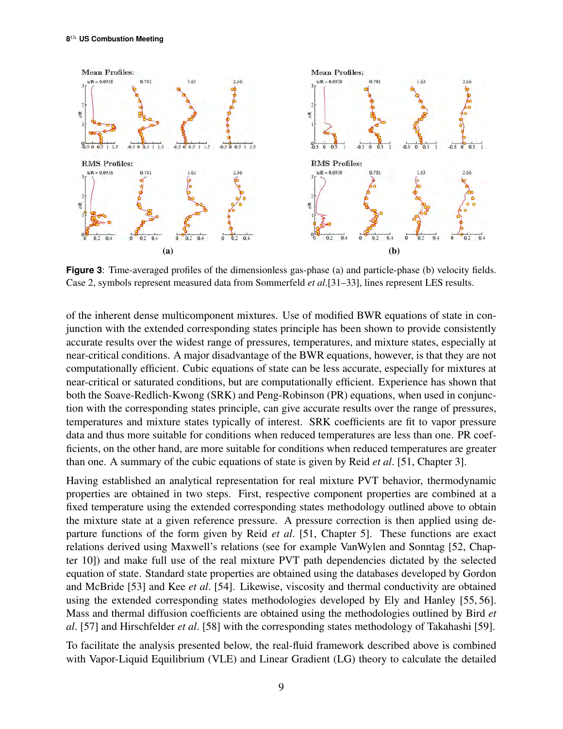

**Figure 3**: Time-averaged profiles of the dimensionless gas-phase (a) and particle-phase (b) velocity fields. Case 2, symbols represent measured data from Sommerfeld *et al*.[31–33], lines represent LES results.

of the inherent dense multicomponent mixtures. Use of modified BWR equations of state in conjunction with the extended corresponding states principle has been shown to provide consistently accurate results over the widest range of pressures, temperatures, and mixture states, especially at near-critical conditions. A major disadvantage of the BWR equations, however, is that they are not computationally efficient. Cubic equations of state can be less accurate, especially for mixtures at near-critical or saturated conditions, but are computationally efficient. Experience has shown that both the Soave-Redlich-Kwong (SRK) and Peng-Robinson (PR) equations, when used in conjunction with the corresponding states principle, can give accurate results over the range of pressures, temperatures and mixture states typically of interest. SRK coefficients are fit to vapor pressure data and thus more suitable for conditions when reduced temperatures are less than one. PR coefficients, on the other hand, are more suitable for conditions when reduced temperatures are greater than one. A summary of the cubic equations of state is given by Reid *et al*. [51, Chapter 3].

Having established an analytical representation for real mixture PVT behavior, thermodynamic properties are obtained in two steps. First, respective component properties are combined at a fixed temperature using the extended corresponding states methodology outlined above to obtain the mixture state at a given reference pressure. A pressure correction is then applied using departure functions of the form given by Reid *et al*. [51, Chapter 5]. These functions are exact relations derived using Maxwell's relations (see for example VanWylen and Sonntag [52, Chapter 10]) and make full use of the real mixture PVT path dependencies dictated by the selected equation of state. Standard state properties are obtained using the databases developed by Gordon and McBride [53] and Kee *et al*. [54]. Likewise, viscosity and thermal conductivity are obtained using the extended corresponding states methodologies developed by Ely and Hanley [55, 56]. Mass and thermal diffusion coefficients are obtained using the methodologies outlined by Bird *et al*. [57] and Hirschfelder *et al*. [58] with the corresponding states methodology of Takahashi [59].

To facilitate the analysis presented below, the real-fluid framework described above is combined with Vapor-Liquid Equilibrium (VLE) and Linear Gradient (LG) theory to calculate the detailed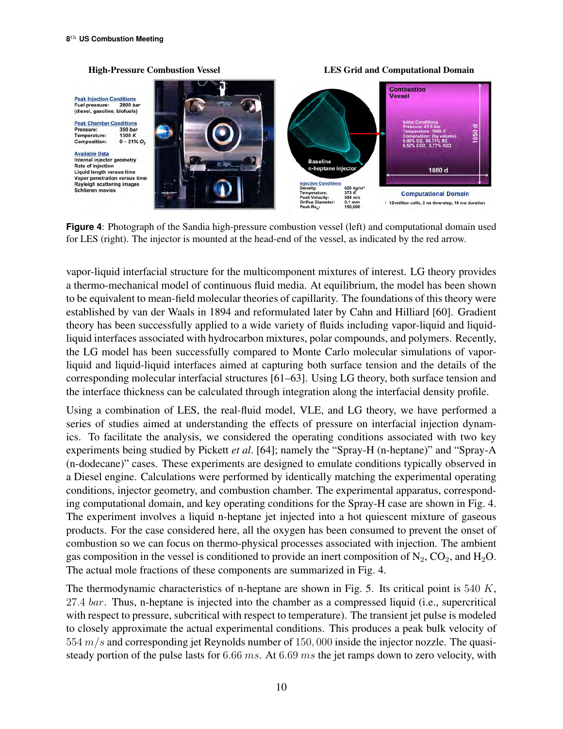#### Combustion Vessel **Peak Injection Conditions** 2000 bay Fuel pressure: (diesel, gasoline, biofuels) **Peak Chamber Conditions** 1050 d Pressure: 350 bar Temperature: 1300 K  $0 - 21\% O_2$ **Composition: Available Data** Internal injector geometry **Baseline Rate of injection** n-heptane injector 1080 d Liquid length versus time Vapor penetration versus time Rayleigh scattering image **ection Conditions** 620 kg/r<br>373 K<br>554 m/s<br>0.1 mm **Schlieren movies Computational Domain** + 12-million cells, 2 ns time-step, 10 ms duration

**Figure 4**: Photograph of the Sandia high-pressure combustion vessel (left) and computational domain used for LES (right). The injector is mounted at the head-end of the vessel, as indicated by the red arrow.

vapor-liquid interfacial structure for the multicomponent mixtures of interest. LG theory provides a thermo-mechanical model of continuous fluid media. At equilibrium, the model has been shown to be equivalent to mean-field molecular theories of capillarity. The foundations of this theory were established by van der Waals in 1894 and reformulated later by Cahn and Hilliard [60]. Gradient theory has been successfully applied to a wide variety of fluids including vapor-liquid and liquidliquid interfaces associated with hydrocarbon mixtures, polar compounds, and polymers. Recently, the LG model has been successfully compared to Monte Carlo molecular simulations of vaporliquid and liquid-liquid interfaces aimed at capturing both surface tension and the details of the corresponding molecular interfacial structures [61–63]. Using LG theory, both surface tension and the interface thickness can be calculated through integration along the interfacial density profile.

Using a combination of LES, the real-fluid model, VLE, and LG theory, we have performed a series of studies aimed at understanding the effects of pressure on interfacial injection dynamics. To facilitate the analysis, we considered the operating conditions associated with two key experiments being studied by Pickett *et al*. [64]; namely the "Spray-H (n-heptane)" and "Spray-A (n-dodecane)" cases. These experiments are designed to emulate conditions typically observed in a Diesel engine. Calculations were performed by identically matching the experimental operating conditions, injector geometry, and combustion chamber. The experimental apparatus, corresponding computational domain, and key operating conditions for the Spray-H case are shown in Fig. 4. The experiment involves a liquid n-heptane jet injected into a hot quiescent mixture of gaseous products. For the case considered here, all the oxygen has been consumed to prevent the onset of combustion so we can focus on thermo-physical processes associated with injection. The ambient gas composition in the vessel is conditioned to provide an inert composition of  $N_2$ ,  $CO_2$ , and  $H_2O$ . The actual mole fractions of these components are summarized in Fig. 4.

The thermodynamic characteristics of n-heptane are shown in Fig. 5. Its critical point is 540 K, 27.4 bar. Thus, n-heptane is injected into the chamber as a compressed liquid (i.e., supercritical with respect to pressure, subcritical with respect to temperature). The transient jet pulse is modeled to closely approximate the actual experimental conditions. This produces a peak bulk velocity of  $554 \, m/s$  and corresponding jet Reynolds number of 150,000 inside the injector nozzle. The quasisteady portion of the pulse lasts for 6.66 ms. At 6.69 ms the jet ramps down to zero velocity, with

High-Pressure Combustion Vessel LES Grid and Computational Domain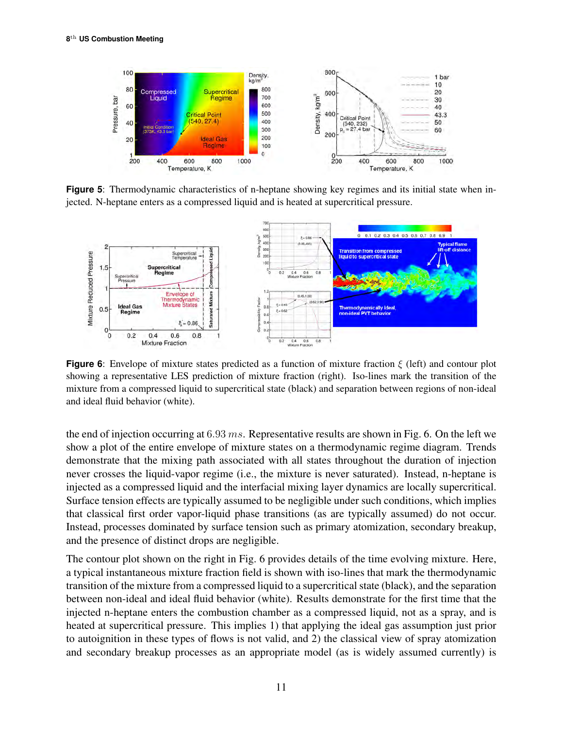

**Figure 5**: Thermodynamic characteristics of n-heptane showing key regimes and its initial state when injected. N-heptane enters as a compressed liquid and is heated at supercritical pressure.



**Figure 6**: Envelope of mixture states predicted as a function of mixture fraction ξ (left) and contour plot showing a representative LES prediction of mixture fraction (right). Iso-lines mark the transition of the mixture from a compressed liquid to supercritical state (black) and separation between regions of non-ideal and ideal fluid behavior (white).

the end of injection occurring at  $6.93$  ms. Representative results are shown in Fig. 6. On the left we show a plot of the entire envelope of mixture states on a thermodynamic regime diagram. Trends demonstrate that the mixing path associated with all states throughout the duration of injection never crosses the liquid-vapor regime (i.e., the mixture is never saturated). Instead, n-heptane is injected as a compressed liquid and the interfacial mixing layer dynamics are locally supercritical. Surface tension effects are typically assumed to be negligible under such conditions, which implies that classical first order vapor-liquid phase transitions (as are typically assumed) do not occur. Instead, processes dominated by surface tension such as primary atomization, secondary breakup, and the presence of distinct drops are negligible.

The contour plot shown on the right in Fig. 6 provides details of the time evolving mixture. Here, a typical instantaneous mixture fraction field is shown with iso-lines that mark the thermodynamic transition of the mixture from a compressed liquid to a supercritical state (black), and the separation between non-ideal and ideal fluid behavior (white). Results demonstrate for the first time that the injected n-heptane enters the combustion chamber as a compressed liquid, not as a spray, and is heated at supercritical pressure. This implies 1) that applying the ideal gas assumption just prior to autoignition in these types of flows is not valid, and 2) the classical view of spray atomization and secondary breakup processes as an appropriate model (as is widely assumed currently) is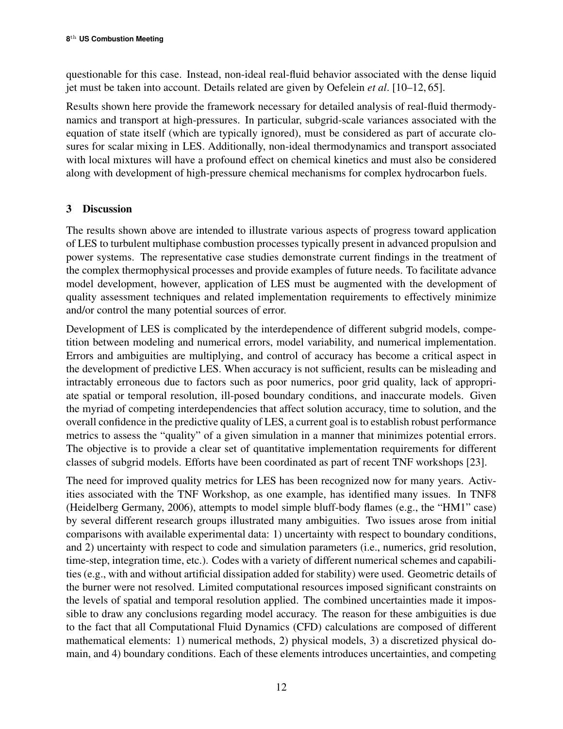questionable for this case. Instead, non-ideal real-fluid behavior associated with the dense liquid jet must be taken into account. Details related are given by Oefelein *et al*. [10–12, 65].

Results shown here provide the framework necessary for detailed analysis of real-fluid thermodynamics and transport at high-pressures. In particular, subgrid-scale variances associated with the equation of state itself (which are typically ignored), must be considered as part of accurate closures for scalar mixing in LES. Additionally, non-ideal thermodynamics and transport associated with local mixtures will have a profound effect on chemical kinetics and must also be considered along with development of high-pressure chemical mechanisms for complex hydrocarbon fuels.

# 3 Discussion

The results shown above are intended to illustrate various aspects of progress toward application of LES to turbulent multiphase combustion processes typically present in advanced propulsion and power systems. The representative case studies demonstrate current findings in the treatment of the complex thermophysical processes and provide examples of future needs. To facilitate advance model development, however, application of LES must be augmented with the development of quality assessment techniques and related implementation requirements to effectively minimize and/or control the many potential sources of error.

Development of LES is complicated by the interdependence of different subgrid models, competition between modeling and numerical errors, model variability, and numerical implementation. Errors and ambiguities are multiplying, and control of accuracy has become a critical aspect in the development of predictive LES. When accuracy is not sufficient, results can be misleading and intractably erroneous due to factors such as poor numerics, poor grid quality, lack of appropriate spatial or temporal resolution, ill-posed boundary conditions, and inaccurate models. Given the myriad of competing interdependencies that affect solution accuracy, time to solution, and the overall confidence in the predictive quality of LES, a current goal is to establish robust performance metrics to assess the "quality" of a given simulation in a manner that minimizes potential errors. The objective is to provide a clear set of quantitative implementation requirements for different classes of subgrid models. Efforts have been coordinated as part of recent TNF workshops [23].

The need for improved quality metrics for LES has been recognized now for many years. Activities associated with the TNF Workshop, as one example, has identified many issues. In TNF8 (Heidelberg Germany, 2006), attempts to model simple bluff-body flames (e.g., the "HM1" case) by several different research groups illustrated many ambiguities. Two issues arose from initial comparisons with available experimental data: 1) uncertainty with respect to boundary conditions, and 2) uncertainty with respect to code and simulation parameters (i.e., numerics, grid resolution, time-step, integration time, etc.). Codes with a variety of different numerical schemes and capabilities (e.g., with and without artificial dissipation added for stability) were used. Geometric details of the burner were not resolved. Limited computational resources imposed significant constraints on the levels of spatial and temporal resolution applied. The combined uncertainties made it impossible to draw any conclusions regarding model accuracy. The reason for these ambiguities is due to the fact that all Computational Fluid Dynamics (CFD) calculations are composed of different mathematical elements: 1) numerical methods, 2) physical models, 3) a discretized physical domain, and 4) boundary conditions. Each of these elements introduces uncertainties, and competing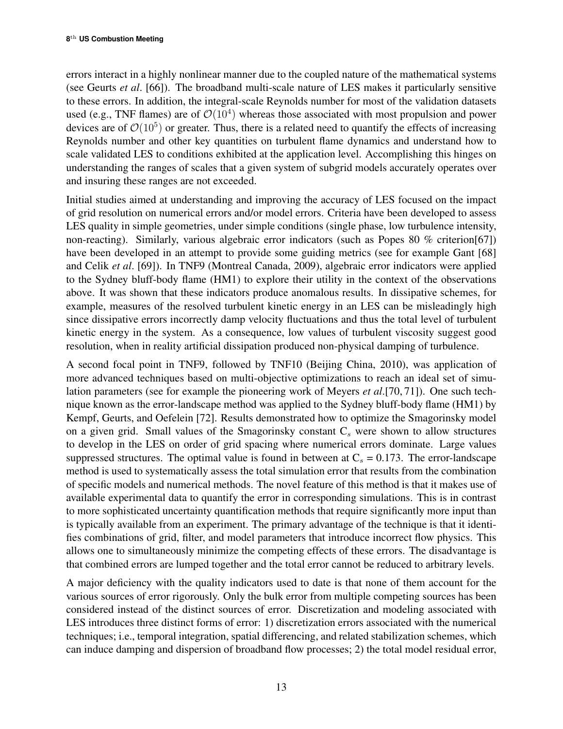errors interact in a highly nonlinear manner due to the coupled nature of the mathematical systems (see Geurts *et al*. [66]). The broadband multi-scale nature of LES makes it particularly sensitive to these errors. In addition, the integral-scale Reynolds number for most of the validation datasets used (e.g., TNF flames) are of  $\mathcal{O}(10^4)$  whereas those associated with most propulsion and power devices are of  $\mathcal{O}(10^5)$  or greater. Thus, there is a related need to quantify the effects of increasing Reynolds number and other key quantities on turbulent flame dynamics and understand how to scale validated LES to conditions exhibited at the application level. Accomplishing this hinges on understanding the ranges of scales that a given system of subgrid models accurately operates over and insuring these ranges are not exceeded.

Initial studies aimed at understanding and improving the accuracy of LES focused on the impact of grid resolution on numerical errors and/or model errors. Criteria have been developed to assess LES quality in simple geometries, under simple conditions (single phase, low turbulence intensity, non-reacting). Similarly, various algebraic error indicators (such as Popes 80 % criterion[67]) have been developed in an attempt to provide some guiding metrics (see for example Gant [68] and Celik *et al*. [69]). In TNF9 (Montreal Canada, 2009), algebraic error indicators were applied to the Sydney bluff-body flame (HM1) to explore their utility in the context of the observations above. It was shown that these indicators produce anomalous results. In dissipative schemes, for example, measures of the resolved turbulent kinetic energy in an LES can be misleadingly high since dissipative errors incorrectly damp velocity fluctuations and thus the total level of turbulent kinetic energy in the system. As a consequence, low values of turbulent viscosity suggest good resolution, when in reality artificial dissipation produced non-physical damping of turbulence.

A second focal point in TNF9, followed by TNF10 (Beijing China, 2010), was application of more advanced techniques based on multi-objective optimizations to reach an ideal set of simulation parameters (see for example the pioneering work of Meyers *et al*.[70, 71]). One such technique known as the error-landscape method was applied to the Sydney bluff-body flame (HM1) by Kempf, Geurts, and Oefelein [72]. Results demonstrated how to optimize the Smagorinsky model on a given grid. Small values of the Smagorinsky constant  $C_s$  were shown to allow structures to develop in the LES on order of grid spacing where numerical errors dominate. Large values suppressed structures. The optimal value is found in between at  $C_s = 0.173$ . The error-landscape method is used to systematically assess the total simulation error that results from the combination of specific models and numerical methods. The novel feature of this method is that it makes use of available experimental data to quantify the error in corresponding simulations. This is in contrast to more sophisticated uncertainty quantification methods that require significantly more input than is typically available from an experiment. The primary advantage of the technique is that it identifies combinations of grid, filter, and model parameters that introduce incorrect flow physics. This allows one to simultaneously minimize the competing effects of these errors. The disadvantage is that combined errors are lumped together and the total error cannot be reduced to arbitrary levels.

A major deficiency with the quality indicators used to date is that none of them account for the various sources of error rigorously. Only the bulk error from multiple competing sources has been considered instead of the distinct sources of error. Discretization and modeling associated with LES introduces three distinct forms of error: 1) discretization errors associated with the numerical techniques; i.e., temporal integration, spatial differencing, and related stabilization schemes, which can induce damping and dispersion of broadband flow processes; 2) the total model residual error,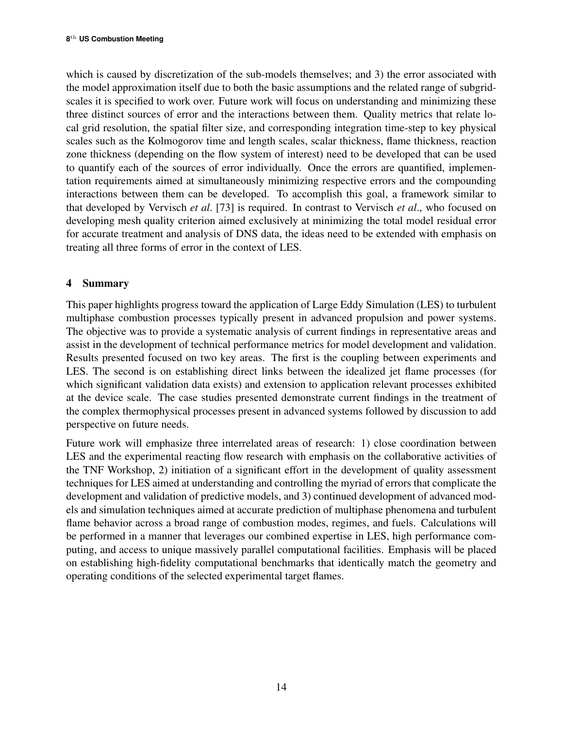which is caused by discretization of the sub-models themselves; and 3) the error associated with the model approximation itself due to both the basic assumptions and the related range of subgridscales it is specified to work over. Future work will focus on understanding and minimizing these three distinct sources of error and the interactions between them. Quality metrics that relate local grid resolution, the spatial filter size, and corresponding integration time-step to key physical scales such as the Kolmogorov time and length scales, scalar thickness, flame thickness, reaction zone thickness (depending on the flow system of interest) need to be developed that can be used to quantify each of the sources of error individually. Once the errors are quantified, implementation requirements aimed at simultaneously minimizing respective errors and the compounding interactions between them can be developed. To accomplish this goal, a framework similar to that developed by Vervisch *et al*. [73] is required. In contrast to Vervisch *et al*., who focused on developing mesh quality criterion aimed exclusively at minimizing the total model residual error for accurate treatment and analysis of DNS data, the ideas need to be extended with emphasis on treating all three forms of error in the context of LES.

# 4 Summary

This paper highlights progress toward the application of Large Eddy Simulation (LES) to turbulent multiphase combustion processes typically present in advanced propulsion and power systems. The objective was to provide a systematic analysis of current findings in representative areas and assist in the development of technical performance metrics for model development and validation. Results presented focused on two key areas. The first is the coupling between experiments and LES. The second is on establishing direct links between the idealized jet flame processes (for which significant validation data exists) and extension to application relevant processes exhibited at the device scale. The case studies presented demonstrate current findings in the treatment of the complex thermophysical processes present in advanced systems followed by discussion to add perspective on future needs.

Future work will emphasize three interrelated areas of research: 1) close coordination between LES and the experimental reacting flow research with emphasis on the collaborative activities of the TNF Workshop, 2) initiation of a significant effort in the development of quality assessment techniques for LES aimed at understanding and controlling the myriad of errors that complicate the development and validation of predictive models, and 3) continued development of advanced models and simulation techniques aimed at accurate prediction of multiphase phenomena and turbulent flame behavior across a broad range of combustion modes, regimes, and fuels. Calculations will be performed in a manner that leverages our combined expertise in LES, high performance computing, and access to unique massively parallel computational facilities. Emphasis will be placed on establishing high-fidelity computational benchmarks that identically match the geometry and operating conditions of the selected experimental target flames.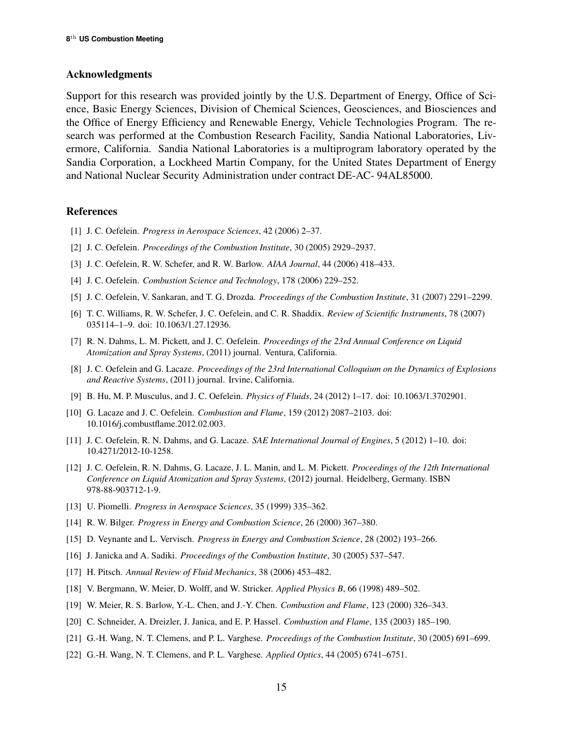#### Acknowledgments

Support for this research was provided jointly by the U.S. Department of Energy, Office of Science, Basic Energy Sciences, Division of Chemical Sciences, Geosciences, and Biosciences and the Office of Energy Efficiency and Renewable Energy, Vehicle Technologies Program. The research was performed at the Combustion Research Facility, Sandia National Laboratories, Livermore, California. Sandia National Laboratories is a multiprogram laboratory operated by the Sandia Corporation, a Lockheed Martin Company, for the United States Department of Energy and National Nuclear Security Administration under contract DE-AC- 94AL85000.

#### References

- [1] J. C. Oefelein. *Progress in Aerospace Sciences*, 42 (2006) 2–37.
- [2] J. C. Oefelein. *Proceedings of the Combustion Institute*, 30 (2005) 2929–2937.
- [3] J. C. Oefelein, R. W. Schefer, and R. W. Barlow. *AIAA Journal*, 44 (2006) 418–433.
- [4] J. C. Oefelein. *Combustion Science and Technology*, 178 (2006) 229–252.
- [5] J. C. Oefelein, V. Sankaran, and T. G. Drozda. *Proceedings of the Combustion Institute*, 31 (2007) 2291–2299.
- [6] T. C. Williams, R. W. Schefer, J. C. Oefelein, and C. R. Shaddix. *Review of Scientific Instruments*, 78 (2007) 035114–1–9. doi: 10.1063/1.27.12936.
- [7] R. N. Dahms, L. M. Pickett, and J. C. Oefelein. *Proceedings of the 23rd Annual Conference on Liquid Atomization and Spray Systems*, (2011) journal. Ventura, California.
- [8] J. C. Oefelein and G. Lacaze. *Proceedings of the 23rd International Colloquium on the Dynamics of Explosions and Reactive Systems*, (2011) journal. Irvine, California.
- [9] B. Hu, M. P. Musculus, and J. C. Oefelein. *Physics of Fluids*, 24 (2012) 1–17. doi: 10.1063/1.3702901.
- [10] G. Lacaze and J. C. Oefelein. *Combustion and Flame*, 159 (2012) 2087–2103. doi: 10.1016/j.combustflame.2012.02.003.
- [11] J. C. Oefelein, R. N. Dahms, and G. Lacaze. *SAE International Journal of Engines*, 5 (2012) 1–10. doi: 10.4271/2012-10-1258.
- [12] J. C. Oefelein, R. N. Dahms, G. Lacaze, J. L. Manin, and L. M. Pickett. *Proceedings of the 12th International Conference on Liquid Atomization and Spray Systems*, (2012) journal. Heidelberg, Germany. ISBN 978-88-903712-1-9.
- [13] U. Piomelli. *Progress in Aerospace Sciences*, 35 (1999) 335–362.
- [14] R. W. Bilger. *Progress in Energy and Combustion Science*, 26 (2000) 367–380.
- [15] D. Veynante and L. Vervisch. *Progress in Energy and Combustion Science*, 28 (2002) 193–266.
- [16] J. Janicka and A. Sadiki. *Proceedings of the Combustion Institute*, 30 (2005) 537–547.
- [17] H. Pitsch. *Annual Review of Fluid Mechanics*, 38 (2006) 453–482.
- [18] V. Bergmann, W. Meier, D. Wolff, and W. Stricker. *Applied Physics B*, 66 (1998) 489–502.
- [19] W. Meier, R. S. Barlow, Y.-L. Chen, and J.-Y. Chen. *Combustion and Flame*, 123 (2000) 326–343.
- [20] C. Schneider, A. Dreizler, J. Janica, and E. P. Hassel. *Combustion and Flame*, 135 (2003) 185–190.
- [21] G.-H. Wang, N. T. Clemens, and P. L. Varghese. *Proceedings of the Combustion Institute*, 30 (2005) 691–699.
- [22] G.-H. Wang, N. T. Clemens, and P. L. Varghese. *Applied Optics*, 44 (2005) 6741–6751.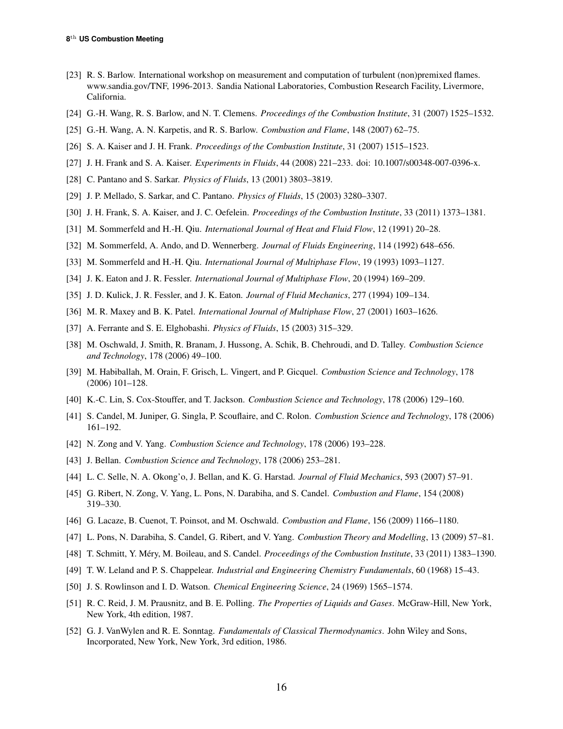- [23] R. S. Barlow. International workshop on measurement and computation of turbulent (non)premixed flames. www.sandia.gov/TNF, 1996-2013. Sandia National Laboratories, Combustion Research Facility, Livermore, California.
- [24] G.-H. Wang, R. S. Barlow, and N. T. Clemens. *Proceedings of the Combustion Institute*, 31 (2007) 1525–1532.
- [25] G.-H. Wang, A. N. Karpetis, and R. S. Barlow. *Combustion and Flame*, 148 (2007) 62–75.
- [26] S. A. Kaiser and J. H. Frank. *Proceedings of the Combustion Institute*, 31 (2007) 1515–1523.
- [27] J. H. Frank and S. A. Kaiser. *Experiments in Fluids*, 44 (2008) 221–233. doi: 10.1007/s00348-007-0396-x.
- [28] C. Pantano and S. Sarkar. *Physics of Fluids*, 13 (2001) 3803–3819.
- [29] J. P. Mellado, S. Sarkar, and C. Pantano. *Physics of Fluids*, 15 (2003) 3280–3307.
- [30] J. H. Frank, S. A. Kaiser, and J. C. Oefelein. *Proceedings of the Combustion Institute*, 33 (2011) 1373–1381.
- [31] M. Sommerfeld and H.-H. Qiu. *International Journal of Heat and Fluid Flow*, 12 (1991) 20–28.
- [32] M. Sommerfeld, A. Ando, and D. Wennerberg. *Journal of Fluids Engineering*, 114 (1992) 648–656.
- [33] M. Sommerfeld and H.-H. Qiu. *International Journal of Multiphase Flow*, 19 (1993) 1093–1127.
- [34] J. K. Eaton and J. R. Fessler. *International Journal of Multiphase Flow*, 20 (1994) 169–209.
- [35] J. D. Kulick, J. R. Fessler, and J. K. Eaton. *Journal of Fluid Mechanics*, 277 (1994) 109–134.
- [36] M. R. Maxey and B. K. Patel. *International Journal of Multiphase Flow*, 27 (2001) 1603–1626.
- [37] A. Ferrante and S. E. Elghobashi. *Physics of Fluids*, 15 (2003) 315–329.
- [38] M. Oschwald, J. Smith, R. Branam, J. Hussong, A. Schik, B. Chehroudi, and D. Talley. *Combustion Science and Technology*, 178 (2006) 49–100.
- [39] M. Habiballah, M. Orain, F. Grisch, L. Vingert, and P. Gicquel. *Combustion Science and Technology*, 178 (2006) 101–128.
- [40] K.-C. Lin, S. Cox-Stouffer, and T. Jackson. *Combustion Science and Technology*, 178 (2006) 129–160.
- [41] S. Candel, M. Juniper, G. Singla, P. Scouflaire, and C. Rolon. *Combustion Science and Technology*, 178 (2006) 161–192.
- [42] N. Zong and V. Yang. *Combustion Science and Technology*, 178 (2006) 193–228.
- [43] J. Bellan. *Combustion Science and Technology*, 178 (2006) 253–281.
- [44] L. C. Selle, N. A. Okong'o, J. Bellan, and K. G. Harstad. *Journal of Fluid Mechanics*, 593 (2007) 57–91.
- [45] G. Ribert, N. Zong, V. Yang, L. Pons, N. Darabiha, and S. Candel. *Combustion and Flame*, 154 (2008) 319–330.
- [46] G. Lacaze, B. Cuenot, T. Poinsot, and M. Oschwald. *Combustion and Flame*, 156 (2009) 1166–1180.
- [47] L. Pons, N. Darabiha, S. Candel, G. Ribert, and V. Yang. *Combustion Theory and Modelling*, 13 (2009) 57–81.
- [48] T. Schmitt, Y. Mery, M. Boileau, and S. Candel. ´ *Proceedings of the Combustion Institute*, 33 (2011) 1383–1390.
- [49] T. W. Leland and P. S. Chappelear. *Industrial and Engineering Chemistry Fundamentals*, 60 (1968) 15–43.
- [50] J. S. Rowlinson and I. D. Watson. *Chemical Engineering Science*, 24 (1969) 1565–1574.
- [51] R. C. Reid, J. M. Prausnitz, and B. E. Polling. *The Properties of Liquids and Gases*. McGraw-Hill, New York, New York, 4th edition, 1987.
- [52] G. J. VanWylen and R. E. Sonntag. *Fundamentals of Classical Thermodynamics*. John Wiley and Sons, Incorporated, New York, New York, 3rd edition, 1986.